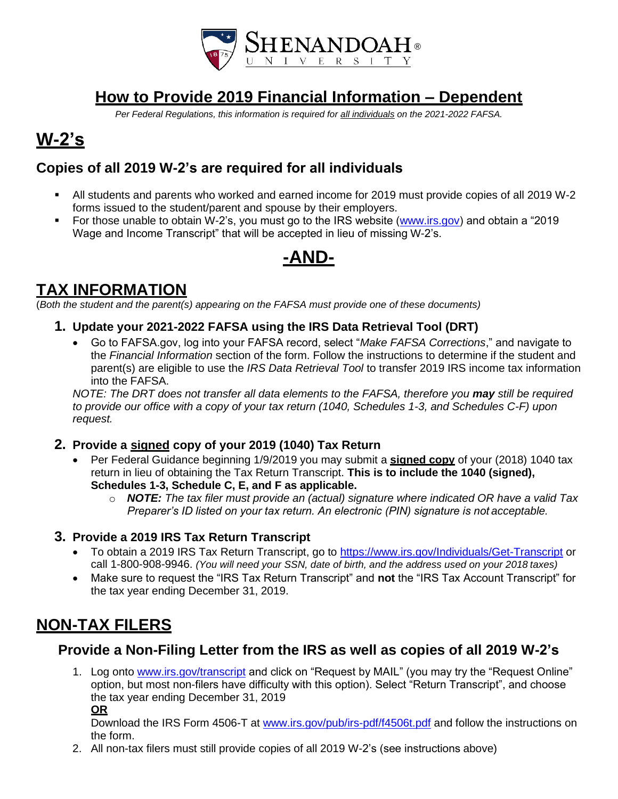

## **How to Provide 2019 Financial Information – Dependent**

*Per Federal Regulations, this information is required for all individuals on the 2021-2022 FAFSA.*

# **W-2's**

### **Copies of all 2019 W-2's are required for all individuals**

- All students and parents who worked and earned income for 2019 must provide copies of all 2019 W-2 forms issued to the student/parent and spouse by their employers.
- For those unable to obtain W-2's, you must go to the IRS website [\(www.irs.gov\)](http://www.irs.gov/) and obtain a "2019 Wage and Income Transcript" that will be accepted in lieu of missing W-2's.

## **-AND-**

## **TAX INFORMATION**

(*Both the student and the parent(s) appearing on the FAFSA must provide one of these documents)*

- **1. Update your 2021-2022 FAFSA using the IRS Data Retrieval Tool (DRT)**
	- Go to FAFSA.gov, log into your FAFSA record, select "*Make FAFSA Corrections*," and navigate to the *Financial Information* section of the form. Follow the instructions to determine if the student and parent(s) are eligible to use the *IRS Data Retrieval Tool* to transfer 2019 IRS income tax information into the FAFSA.

*NOTE: The DRT does not transfer all data elements to the FAFSA, therefore you may <i>still be required to provide our office with a copy of your tax return (1040, Schedules 1-3, and Schedules C-F) upon request.*

- **2. Provide a signed copy of your 2019 (1040) Tax Return**
	- Per Federal Guidance beginning 1/9/2019 you may submit a **signed copy** of your (2018) 1040 tax return in lieu of obtaining the Tax Return Transcript. **This is to include the 1040 (signed), Schedules 1-3, Schedule C, E, and F as applicable.**
		- o *NOTE: The tax filer must provide an (actual) signature where indicated OR have a valid Tax Preparer's ID listed on your tax return. An electronic (PIN) signature is not acceptable.*

### **3. Provide a 2019 IRS Tax Return Transcript**

- To obtain a 2019 IRS Tax Return Transcript, go to <https://www.irs.gov/Individuals/Get-Transcript> or call 1-800-908-9946. *(You will need your SSN, date of birth, and the address used on your 2018 taxes)*
- Make sure to request the "IRS Tax Return Transcript" and **not** the "IRS Tax Account Transcript" for the tax year ending December 31, 2019.

## **NON-TAX FILERS**

### **Provide a Non-Filing Letter from the IRS as well as copies of all 2019 W-2's**

1. Log onto [www.irs.gov/transcript](http://www.irs.gov/transcript) and click on "Request by MAIL" (you may try the "Request Online" option, but most non-filers have difficulty with this option). Select "Return Transcript", and choose the tax year ending December 31, 2019 **OR**

Download the IRS Form 4506-T at [www.irs.gov/pub/irs-pdf/f4506t.pdf](http://www.irs.gov/pub/irs-pdf/f4506t.pdf) and follow the instructions on the form.

2. All non-tax filers must still provide copies of all 2019 W-2's (see instructions above)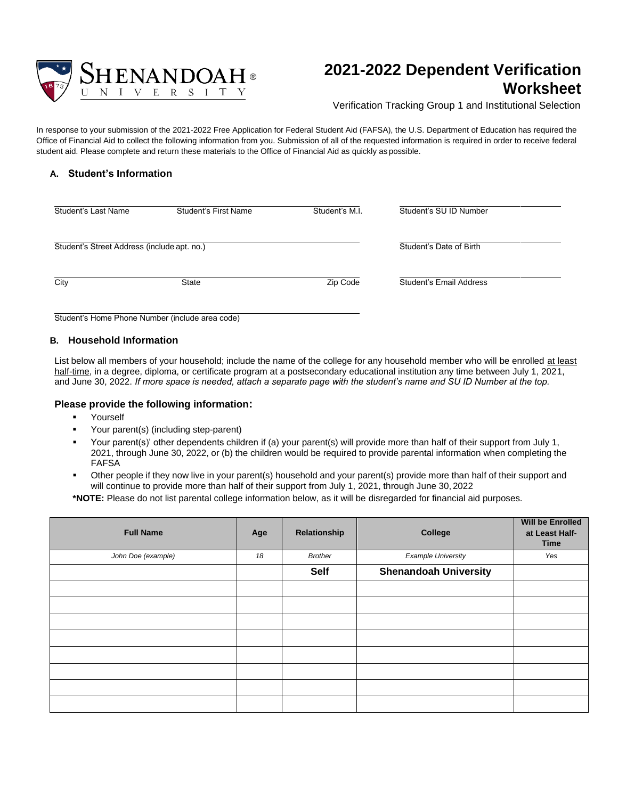

## **2021-2022 Dependent Verification Worksheet**

Verification Tracking Group 1 and Institutional Selection

In response to your submission of the 2021-2022 Free Application for Federal Student Aid (FAFSA), the U.S. Department of Education has required the Office of Financial Aid to collect the following information from you. Submission of all of the requested information is required in order to receive federal student aid. Please complete and return these materials to the Office of Financial Aid as quickly as possible.

### **A. Student's Information**

| Student's Last Name                         | Student's First Name | Student's M.I. | Student's SU ID Number  |
|---------------------------------------------|----------------------|----------------|-------------------------|
| Student's Street Address (include apt. no.) |                      |                | Student's Date of Birth |
| City                                        | <b>State</b>         | Zip Code       | Student's Email Address |

Student's Home Phone Number (include area code)

#### **B. Household Information**

List below all members of your household; include the name of the college for any household member who will be enrolled at least half-time, in a degree, diploma, or certificate program at a postsecondary educational institution any time between July 1, 2021, and June 30, 2022. *If more space is needed, attach a separate page with the student's name and SU ID Number at the top.*

#### **Please provide the following information:**

- Yourself
- Your parent(s) (including step-parent)
- Your parent(s)' other dependents children if (a) your parent(s) will provide more than half of their support from July 1, 2021, through June 30, 2022, or (b) the children would be required to provide parental information when completing the FAFSA
- Other people if they now live in your parent(s) household and your parent(s) provide more than half of their support and will continue to provide more than half of their support from July 1, 2021, through June 30, 2022

**\*NOTE:** Please do not list parental college information below, as it will be disregarded for financial aid purposes.

| <b>Full Name</b>   | Age | Relationship   | College                      | <b>Will be Enrolled</b><br>at Least Half-<br><b>Time</b> |
|--------------------|-----|----------------|------------------------------|----------------------------------------------------------|
| John Doe (example) | 18  | <b>Brother</b> | <b>Example University</b>    | Yes                                                      |
|                    |     | <b>Self</b>    | <b>Shenandoah University</b> |                                                          |
|                    |     |                |                              |                                                          |
|                    |     |                |                              |                                                          |
|                    |     |                |                              |                                                          |
|                    |     |                |                              |                                                          |
|                    |     |                |                              |                                                          |
|                    |     |                |                              |                                                          |
|                    |     |                |                              |                                                          |
|                    |     |                |                              |                                                          |